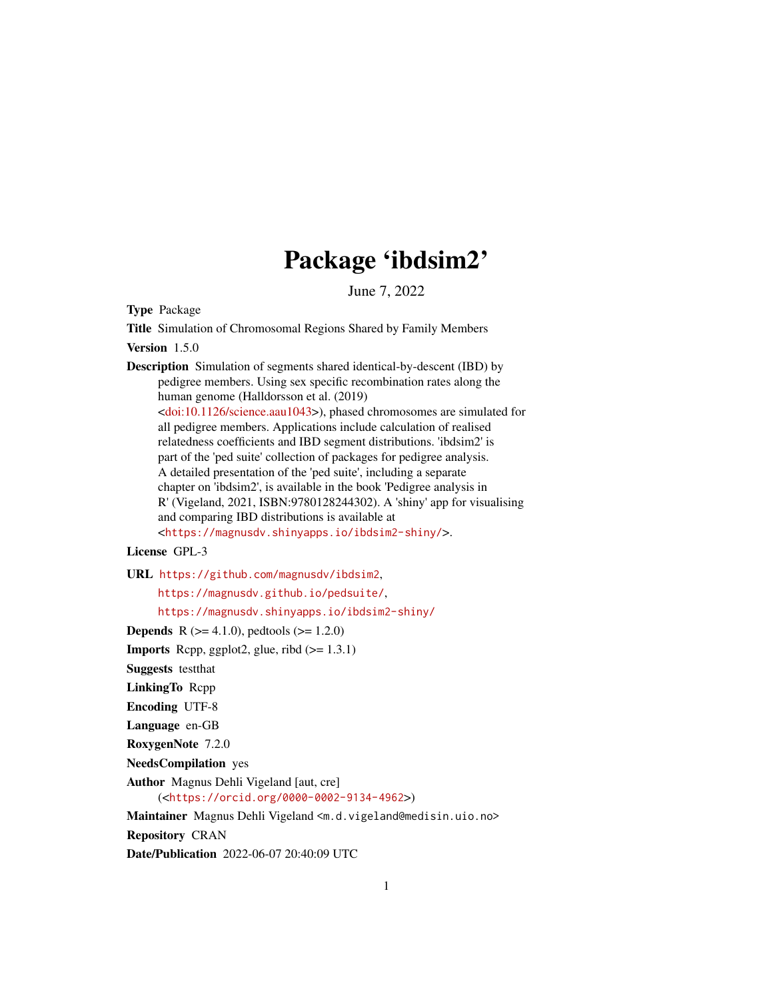# Package 'ibdsim2'

June 7, 2022

<span id="page-0-0"></span>Type Package

Title Simulation of Chromosomal Regions Shared by Family Members

Version 1.5.0

Description Simulation of segments shared identical-by-descent (IBD) by pedigree members. Using sex specific recombination rates along the human genome (Halldorsson et al. (2019) [<doi:10.1126/science.aau1043>](https://doi.org/10.1126/science.aau1043)), phased chromosomes are simulated for all pedigree members. Applications include calculation of realised relatedness coefficients and IBD segment distributions. 'ibdsim2' is part of the 'ped suite' collection of packages for pedigree analysis. A detailed presentation of the 'ped suite', including a separate chapter on 'ibdsim2', is available in the book 'Pedigree analysis in R' (Vigeland, 2021, ISBN:9780128244302). A 'shiny' app for visualising and comparing IBD distributions is available at <<https://magnusdv.shinyapps.io/ibdsim2-shiny/>>.

### License GPL-3

URL <https://github.com/magnusdv/ibdsim2>,

<https://magnusdv.github.io/pedsuite/>,

<https://magnusdv.shinyapps.io/ibdsim2-shiny/>

**Depends** R  $(>= 4.1.0)$ , pedtools  $(>= 1.2.0)$ 

**Imports** Rcpp, ggplot2, glue, ribd  $(>= 1.3.1)$ 

Suggests testthat

LinkingTo Rcpp

Encoding UTF-8

Language en-GB

RoxygenNote 7.2.0

NeedsCompilation yes

Author Magnus Dehli Vigeland [aut, cre] (<<https://orcid.org/0000-0002-9134-4962>>)

Maintainer Magnus Dehli Vigeland <m.d.vigeland@medisin.uio.no>

Repository CRAN

Date/Publication 2022-06-07 20:40:09 UTC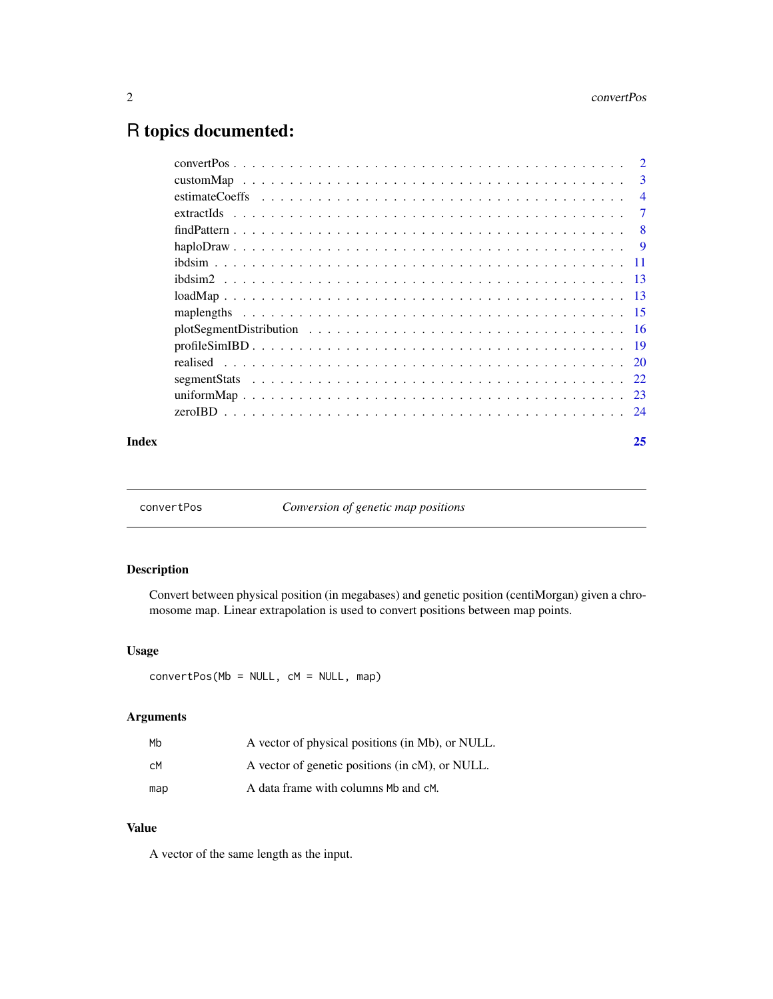## <span id="page-1-0"></span>R topics documented:

| 3              |
|----------------|
| $\overline{4}$ |
| $\tau$         |
| - 8            |
| $\overline{9}$ |
|                |
|                |
|                |
|                |
|                |
|                |
|                |
|                |
|                |
|                |
|                |

#### **Index** [25](#page-24-0)

convertPos *Conversion of genetic map positions*

### Description

Convert between physical position (in megabases) and genetic position (centiMorgan) given a chromosome map. Linear extrapolation is used to convert positions between map points.

#### Usage

convertPos(Mb = NULL, cM = NULL, map)

### Arguments

| Mb  | A vector of physical positions (in Mb), or NULL. |
|-----|--------------------------------------------------|
| CM. | A vector of genetic positions (in cM), or NULL.  |
| map | A data frame with columns Mb and cM.             |

#### Value

A vector of the same length as the input.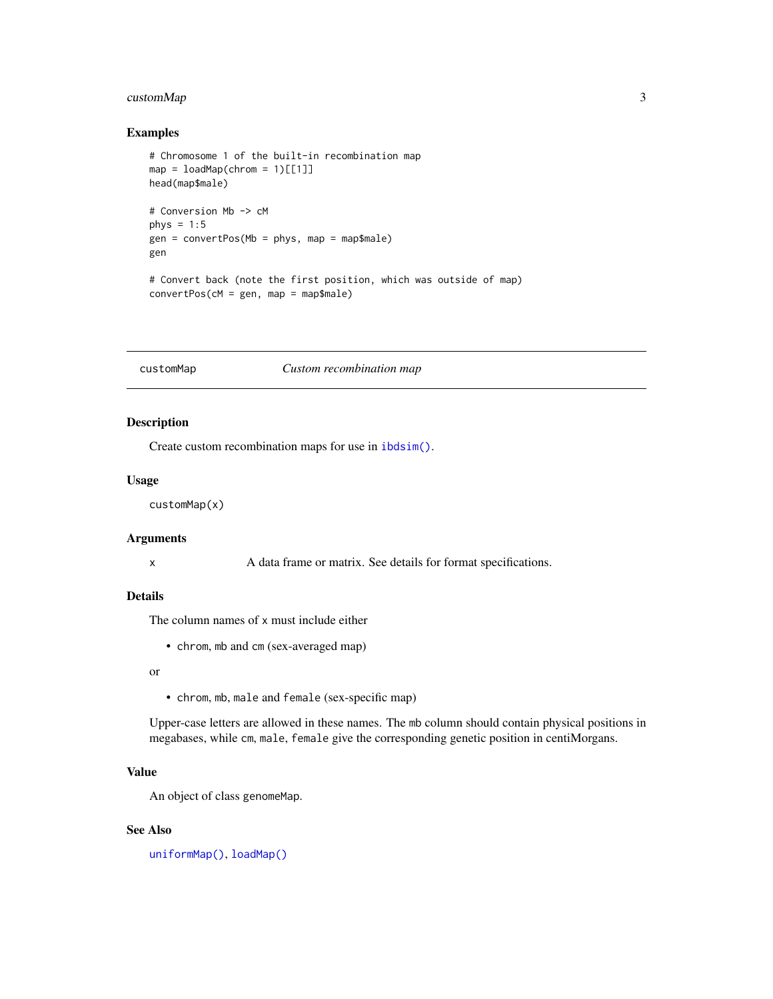#### <span id="page-2-0"></span>customMap 3

#### Examples

```
# Chromosome 1 of the built-in recombination map
map = loadMap(chrom = 1)[[1]]
head(map$male)
# Conversion Mb -> cM
phys = 1:5gen = convertPos(Mb = phys, map = map$male)
gen
# Convert back (note the first position, which was outside of map)
convertPos(cM = gen, map = map$male)
```
<span id="page-2-1"></span>

#### customMap *Custom recombination map*

#### Description

Create custom recombination maps for use in [ibdsim\(\)](#page-10-1).

#### Usage

customMap(x)

#### Arguments

x A data frame or matrix. See details for format specifications.

#### Details

The column names of x must include either

• chrom, mb and cm (sex-averaged map)

#### or

• chrom, mb, male and female (sex-specific map)

Upper-case letters are allowed in these names. The mb column should contain physical positions in megabases, while cm, male, female give the corresponding genetic position in centiMorgans.

#### Value

An object of class genomeMap.

#### See Also

[uniformMap\(\)](#page-22-1), [loadMap\(\)](#page-12-1)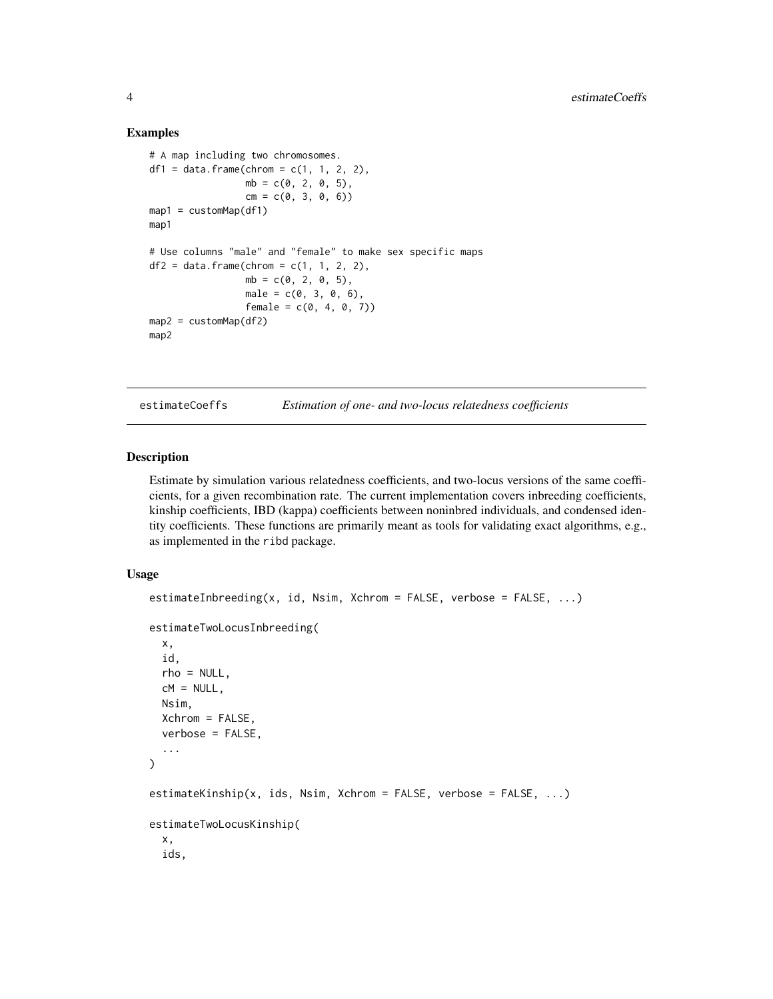#### Examples

```
# A map including two chromosomes.
df1 = data.frame(chrom = c(1, 1, 2, 2),
                 mb = c(0, 2, 0, 5),
                 cm = c(0, 3, 0, 6)map1 = customMap(df1)map1
# Use columns "male" and "female" to make sex specific maps
df2 = data. frame(chrom = c(1, 1, 2, 2),
                 mb = c(0, 2, 0, 5),
                 male = c(0, 3, 0, 6),female = c(0, 4, 0, 7))map2 = customMap(df2)
map2
```
estimateCoeffs *Estimation of one- and two-locus relatedness coefficients*

#### Description

Estimate by simulation various relatedness coefficients, and two-locus versions of the same coefficients, for a given recombination rate. The current implementation covers inbreeding coefficients, kinship coefficients, IBD (kappa) coefficients between noninbred individuals, and condensed identity coefficients. These functions are primarily meant as tools for validating exact algorithms, e.g., as implemented in the ribd package.

#### Usage

```
estimateInbreeding(x, id, Nsim, Xchrom = FALSE, verbose = FALSE, ...)
estimateTwoLocusInbreeding(
 x,
  id,
  rho = NULL,cM = NULL,Nsim,
 Xchrom = FALSE,
  verbose = FALSE,
  ...
\mathcal{L}estimateKinship(x, ids, Nsim, Xchrom = FALSE, verbose = FALSE, ...)
estimateTwoLocusKinship(
  x,
  ids,
```
<span id="page-3-0"></span>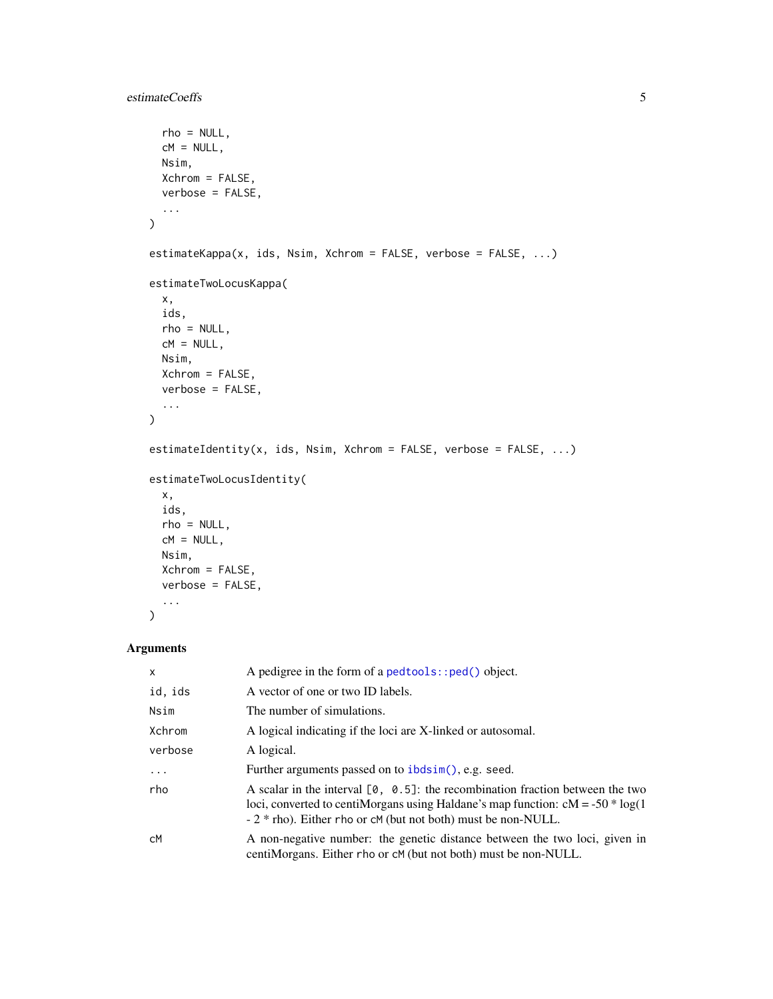```
rho = NULL,
 cM = NULL,Nsim,
 Xchrom = FALSE,
 verbose = FALSE,
  ...
\mathcal{L}estimateKappa(x, ids, Nsim, Xchrom = FALSE, verbose = FALSE, ...)
estimateTwoLocusKappa(
  x,
 ids,
 rho = NULL,cM = NULL,Nsim,
 Xchrom = FALSE,
 verbose = FALSE,
  ...
\mathcal{L}estimateIdentity(x, ids, Nsim, Xchrom = FALSE, verbose = FALSE, ...)
estimateTwoLocusIdentity(
 x,
 ids,
 rho = NULL,
 cM = NULL,Nsim,
 Xchrom = FALSE,
 verbose = FALSE,
  ...
```
#### Arguments

)

| $\mathsf{x}$ | A pedigree in the form of a $pedtools$ : : $ped()$ object.                                                                                                                                                                             |
|--------------|----------------------------------------------------------------------------------------------------------------------------------------------------------------------------------------------------------------------------------------|
| id, ids      | A vector of one or two ID labels.                                                                                                                                                                                                      |
| Nsim         | The number of simulations.                                                                                                                                                                                                             |
| Xchrom       | A logical indicating if the loci are X-linked or autosomal.                                                                                                                                                                            |
| verbose      | A logical.                                                                                                                                                                                                                             |
| $\cdots$     | Further arguments passed on to ibdsim(), e.g. seed.                                                                                                                                                                                    |
| rho          | A scalar in the interval $[0, 0.5]$ : the recombination fraction between the two<br>loci, converted to centiMorgans using Haldane's map function: $cM = -50 * log(1$<br>$-2$ * rho). Either rho or cM (but not both) must be non-NULL. |
| сM           | A non-negative number: the genetic distance between the two loci, given in<br>centi Morgans. Either rho or cM (but not both) must be non-NULL.                                                                                         |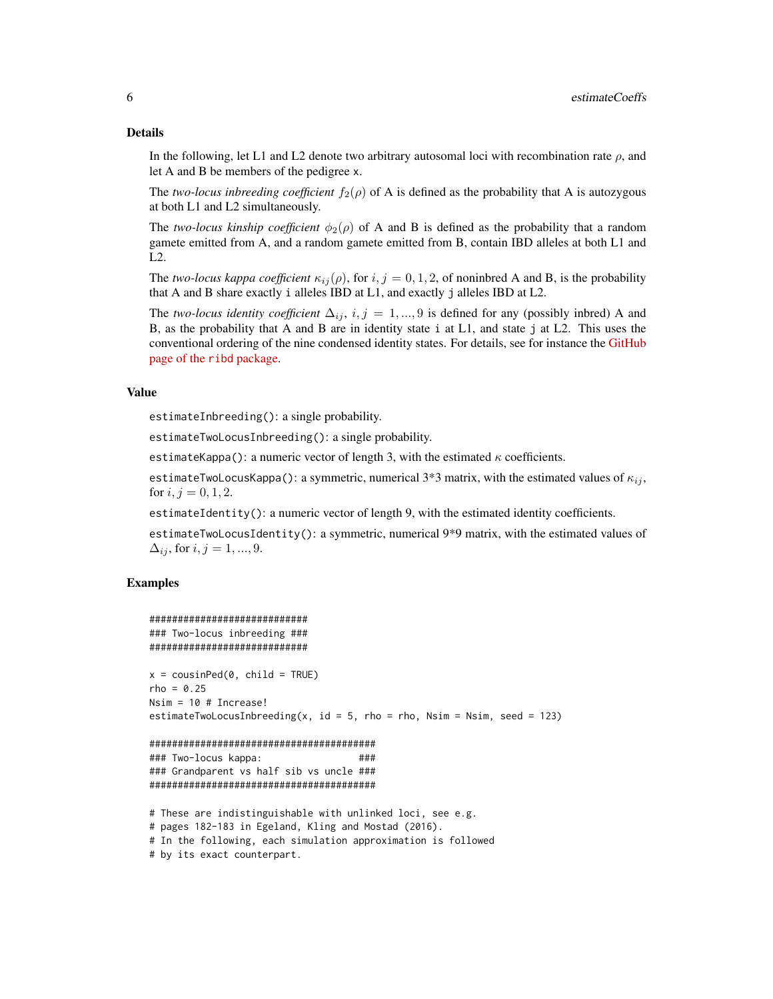#### Details

In the following, let L1 and L2 denote two arbitrary autosomal loci with recombination rate  $\rho$ , and let A and B be members of the pedigree x.

The *two-locus inbreeding coefficient*  $f_2(\rho)$  of A is defined as the probability that A is autozygous at both L1 and L2 simultaneously.

The *two-locus kinship coefficient*  $\phi_2(\rho)$  of A and B is defined as the probability that a random gamete emitted from A, and a random gamete emitted from B, contain IBD alleles at both L1 and L2.

The *two-locus kappa coefficient*  $\kappa_{ij}(\rho)$ , for  $i, j = 0, 1, 2$ , of noninbred A and B, is the probability that A and B share exactly i alleles IBD at L1, and exactly j alleles IBD at L2.

The *two-locus identity coefficient*  $\Delta_{ij}$ ,  $i, j = 1, ..., 9$  is defined for any (possibly inbred) A and B, as the probability that A and B are in identity state i at L1, and state j at L2. This uses the conventional ordering of the nine condensed identity states. For details, see for instance the [GitHub](https://github.com/magnusdv/ribd) [page of the](https://github.com/magnusdv/ribd) ribd package.

#### Value

estimateInbreeding(): a single probability.

estimateTwoLocusInbreeding(): a single probability.

estimateKappa(): a numeric vector of length 3, with the estimated  $\kappa$  coefficients.

estimateTwoLocusKappa(): a symmetric, numerical 3\*3 matrix, with the estimated values of  $\kappa_{ij}$ , for  $i, j = 0, 1, 2$ .

estimateIdentity(): a numeric vector of length 9, with the estimated identity coefficients.

estimateTwoLocusIdentity(): a symmetric, numerical 9\*9 matrix, with the estimated values of  $\Delta_{ij}$ , for  $i, j = 1, ..., 9$ .

```
############################
### Two-locus inbreeding ###
############################
x = \text{cousinPed}(0, \text{ child} = \text{TRUE})rho = 0.25Nsim = 10 # Increase!
estimateTwoLocusInbreeding(x, id = 5, rho = rho, Nsim = Nsim, seed = 123)
########################################
### Two-locus kappa: ###
### Grandparent vs half sib vs uncle ###
########################################
# These are indistinguishable with unlinked loci, see e.g.
# pages 182-183 in Egeland, Kling and Mostad (2016).
```

```
# by its exact counterpart.
```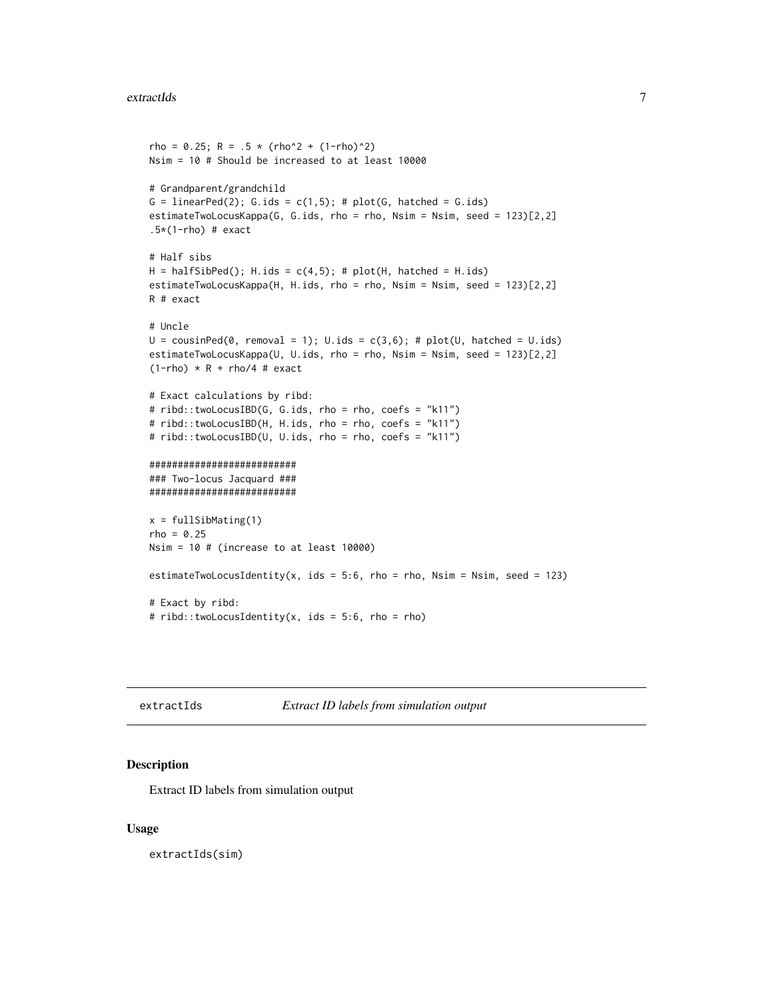```
rho = 0.25; R = .5 * (rho^2 + (1-rho)^2)
Nsim = 10 # Should be increased to at least 10000
# Grandparent/grandchild
G = linearPed(2); G.ids = c(1,5); # plot(G, hatched = G.ids)estimateTwoLocusKappa(G, G.ids, rho = rho, Nsim = Nsim, seed = 123)[2,2]
.5*(1-rho) # exact
# Half sibs
H = halfSibPed(); H.ids = c(4,5); # plot(H, hatched = H.ids)estimateTwoLocusKappa(H, H.ids, rho = rho, Nsim = Nsim, seed = 123)[2,2]
R # exact
# Uncle
U = \text{cousinPed}(\emptyset, \text{removal} = 1); U.ids = c(3,6); # plot(U, \text{hatched} = U.ids)estimateTwoLocusKappa(U, U.ids, rho = rho, Nsim = Nsim, seed = 123)[2,2]
(1-rho) * R + rho/4 # exact# Exact calculations by ribd:
# ribd::twoLocusIBD(G, G.ids, rho = rho, coefs = "k11")
# ribd::twoLocusIBD(H, H.ids, rho = rho, coefs = "k11")
# ribd::twoLocusIBD(U, U.ids, rho = rho, coefs = "k11")
##########################
### Two-locus Jacquard ###
##########################
x = fullSibMating(1)
rho = 0.25Nsim = 10 # (increase to at least 10000)
estimateTwoLocusIdentity(x, ids = 5:6, rho = rho, Nsim = Nsim, seed = 123)
# Exact by ribd:
# ribd::twoLocusIdentity(x, ids = 5:6, rho = rho)
```
extractIds *Extract ID labels from simulation output*

#### **Description**

Extract ID labels from simulation output

#### Usage

extractIds(sim)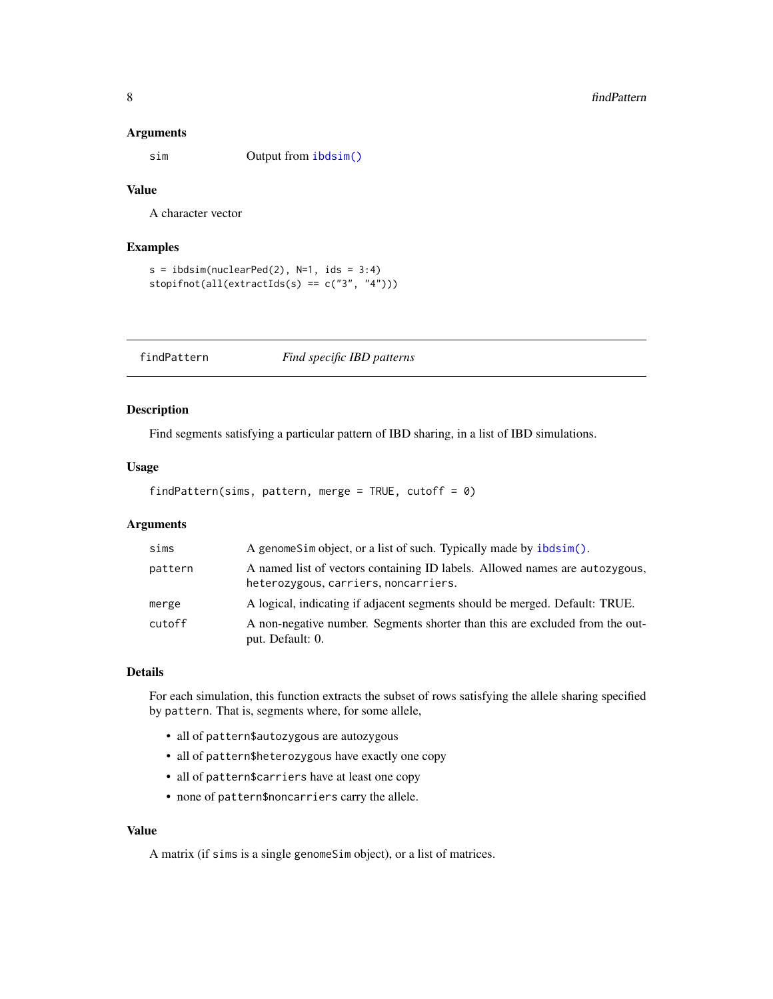#### <span id="page-7-0"></span>Arguments

sim Output from [ibdsim\(\)](#page-10-1)

#### Value

A character vector

#### Examples

```
s = ibdsim(nuclearPed(2), N=1, ids = 3:4)stopifnot(all(extractIds(s) == c("3", "4")))
```
<span id="page-7-1"></span>findPattern *Find specific IBD patterns*

#### Description

Find segments satisfying a particular pattern of IBD sharing, in a list of IBD simulations.

#### Usage

```
findPattern(sims, pattern, merge = TRUE, cutoff = 0)
```
#### Arguments

| sims    | A genomeSim object, or a list of such. Typically made by ibdsim().                                                  |
|---------|---------------------------------------------------------------------------------------------------------------------|
| pattern | A named list of vectors containing ID labels. Allowed names are autozygous,<br>heterozygous, carriers, noncarriers. |
| merge   | A logical, indicating if adjacent segments should be merged. Default: TRUE.                                         |
| cutoff  | A non-negative number. Segments shorter than this are excluded from the out-<br>put. Default: 0.                    |

#### Details

For each simulation, this function extracts the subset of rows satisfying the allele sharing specified by pattern. That is, segments where, for some allele,

- all of pattern\$autozygous are autozygous
- all of pattern\$heterozygous have exactly one copy
- all of pattern\$carriers have at least one copy
- none of pattern\$noncarriers carry the allele.

#### Value

A matrix (if sims is a single genomeSim object), or a list of matrices.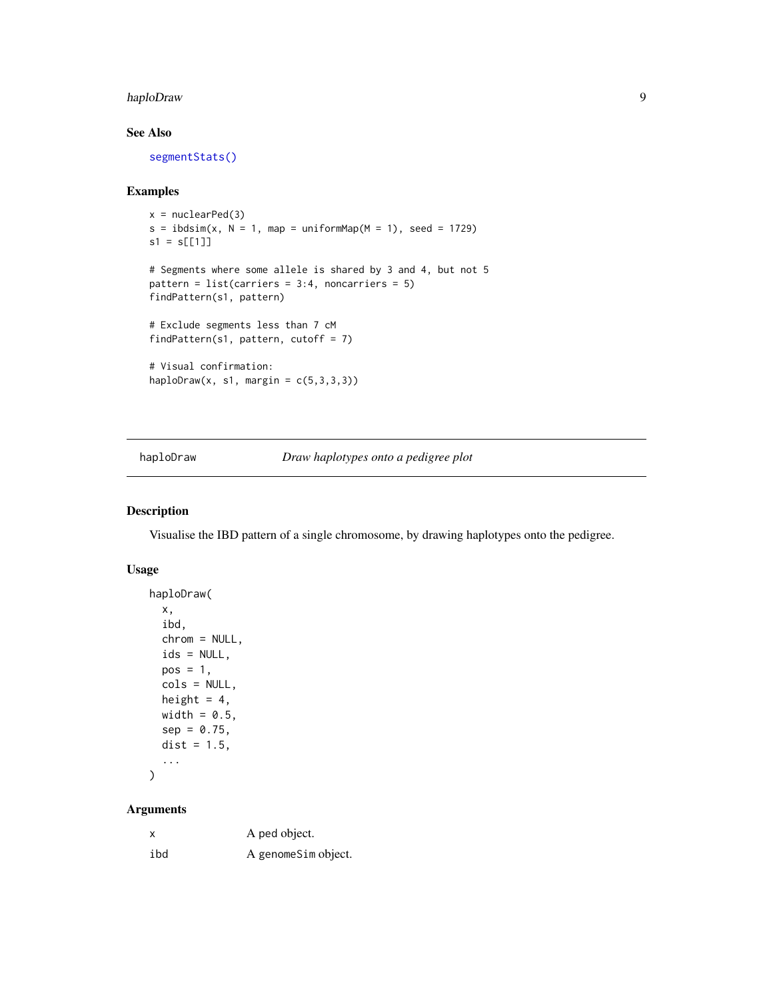#### <span id="page-8-0"></span>haploDraw 9

#### See Also

[segmentStats\(\)](#page-21-1)

#### Examples

```
x = nuclearPed(3)s = ibdsim(x, N = 1, map = uniformMap(M = 1), seed = 1729)s1 = s[[1]]# Segments where some allele is shared by 3 and 4, but not 5
pattern = list(carriers = 3:4, noncarriers = 5)
findPattern(s1, pattern)
# Exclude segments less than 7 cM
findPattern(s1, pattern, cutoff = 7)
# Visual confirmation:
haploDraw(x, s1, margin = c(5,3,3,3))
```
haploDraw *Draw haplotypes onto a pedigree plot*

#### Description

Visualise the IBD pattern of a single chromosome, by drawing haplotypes onto the pedigree.

#### Usage

```
haploDraw(
 x,
  ibd,
  chrom = NULL,
  ids = NULL,pos = 1,
  cols = NULL,
 height = 4,
 width = 0.5,
  sep = 0.75,dist = 1.5,
  ...
)
```
#### Arguments

| x   | A ped object.       |
|-----|---------------------|
| ibd | A genomeSim object. |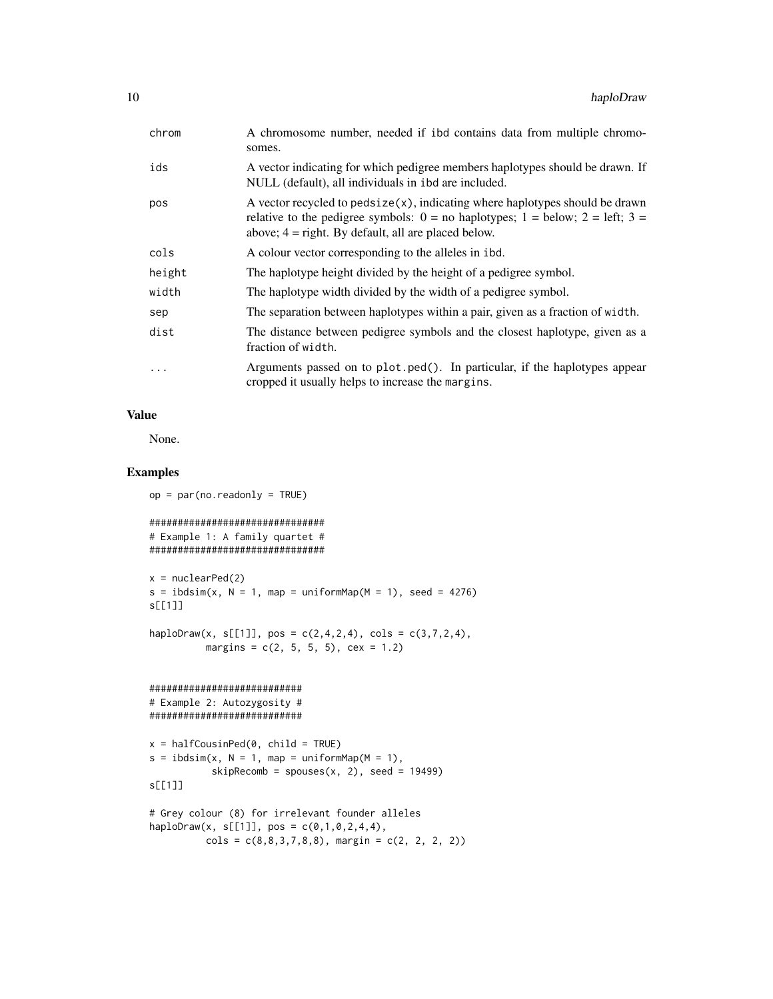| chrom  | A chromosome number, needed if ibd contains data from multiple chromo-<br>somes.                                                                                                                                                   |
|--------|------------------------------------------------------------------------------------------------------------------------------------------------------------------------------------------------------------------------------------|
| ids    | A vector indicating for which pedigree members haplotypes should be drawn. If<br>NULL (default), all individuals in ibd are included.                                                                                              |
| pos    | A vector recycled to pedsize $(x)$ , indicating where haplotypes should be drawn<br>relative to the pedigree symbols: $0 =$ no haplotypes; $1 =$ below; $2 =$ left; $3 =$<br>above; $4 =$ right. By default, all are placed below. |
| cols   | A colour vector corresponding to the alleles in ibd.                                                                                                                                                                               |
| height | The haplotype height divided by the height of a pedigree symbol.                                                                                                                                                                   |
| width  | The haplotype width divided by the width of a pedigree symbol.                                                                                                                                                                     |
| sep    | The separation between haplotypes within a pair, given as a fraction of width.                                                                                                                                                     |
| dist   | The distance between pedigree symbols and the closest haplotype, given as a<br>fraction of width.                                                                                                                                  |
| .      | Arguments passed on to plot.ped(). In particular, if the haplotypes appear<br>cropped it usually helps to increase the margins.                                                                                                    |

#### Value

None.

```
op = par(no.readonly = TRUE)
```

```
###############################
# Example 1: A family quartet #
###############################
```

```
x = nuclearPed(2)s = ibdsim(x, N = 1, map = uniformMap(M = 1), seed = 4276)s[[1]]
```

```
haploDraw(x, s[[1]], pos = c(2,4,2,4), cols = c(3,7,2,4),
         margins = c(2, 5, 5, 5), cex = 1.2)
```

```
###########################
# Example 2: Autozygosity #
###########################
```

```
x = \text{halfCousinPed}(0, \text{ child} = \text{TRUE})s = ibdsim(x, N = 1, map = uniformMap(M = 1),skipRecomb = spouses(x, 2), seed = 19499)
s[[1]]
```

```
# Grey colour (8) for irrelevant founder alleles
haploDraw(x, s[[1]], pos = c(0,1,0,2,4,4),
          cols = c(8, 8, 3, 7, 8, 8), margin = c(2, 2, 2, 2))
```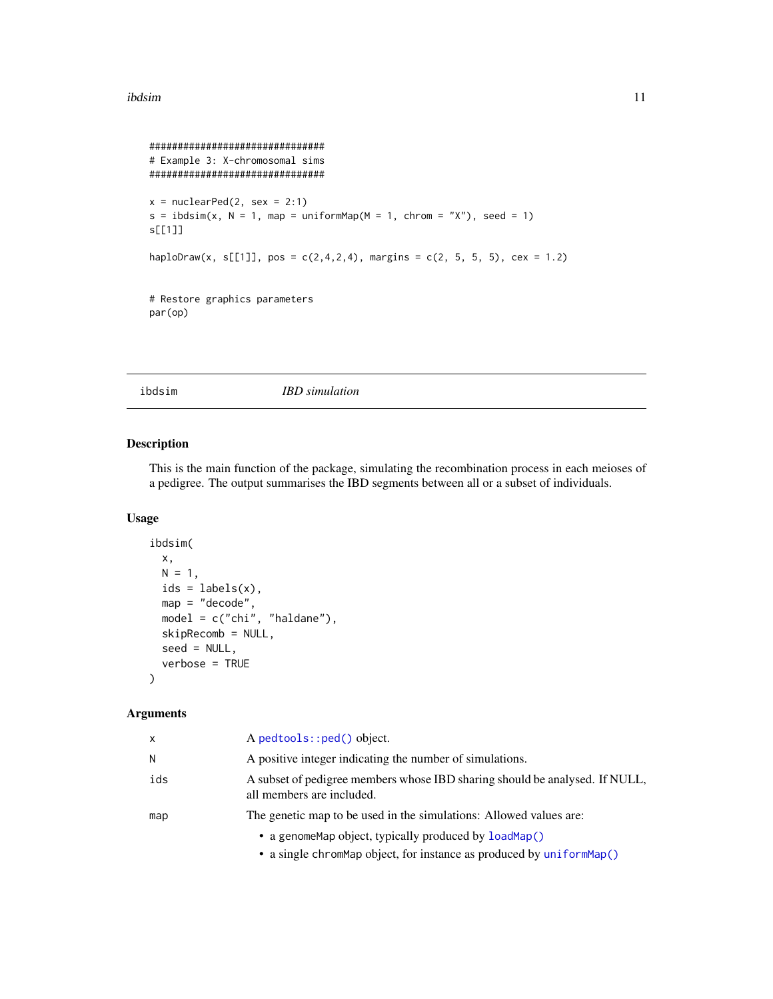#### <span id="page-10-0"></span>ibdsim 11

```
###############################
# Example 3: X-chromosomal sims
###############################
x = nuclearPed(2, sex = 2:1)s = ibdsim(x, N = 1, map = uniformMap(M = 1, chrom = "X"), seed = 1)s[[1]]
haploDraw(x, s[[1]], pos = c(2, 4, 2, 4), margins = c(2, 5, 5, 5), cex = 1.2)
# Restore graphics parameters
par(op)
```
<span id="page-10-1"></span>

ibdsim *IBD simulation*

#### Description

This is the main function of the package, simulating the recombination process in each meioses of a pedigree. The output summarises the IBD segments between all or a subset of individuals.

#### Usage

```
ibdsim(
 x,
 N = 1,
 ids = labels(x),
 map = "decode",model = c("chi", "haldane"),
 skipRecomb = NULL,
  seed = NULL,
  verbose = TRUE
)
```
#### Arguments

| x   | $A$ pedtools:: $ped()$ object.                                                                           |
|-----|----------------------------------------------------------------------------------------------------------|
| N   | A positive integer indicating the number of simulations.                                                 |
| ids | A subset of pedigree members whose IBD sharing should be analysed. If NULL,<br>all members are included. |
| map | The genetic map to be used in the simulations: Allowed values are:                                       |
|     | • a genome Map object, typically produced by load Map()                                                  |
|     | $\bullet$ cande elementer object for instance as meducad by $\infty$ form that $\wedge$                  |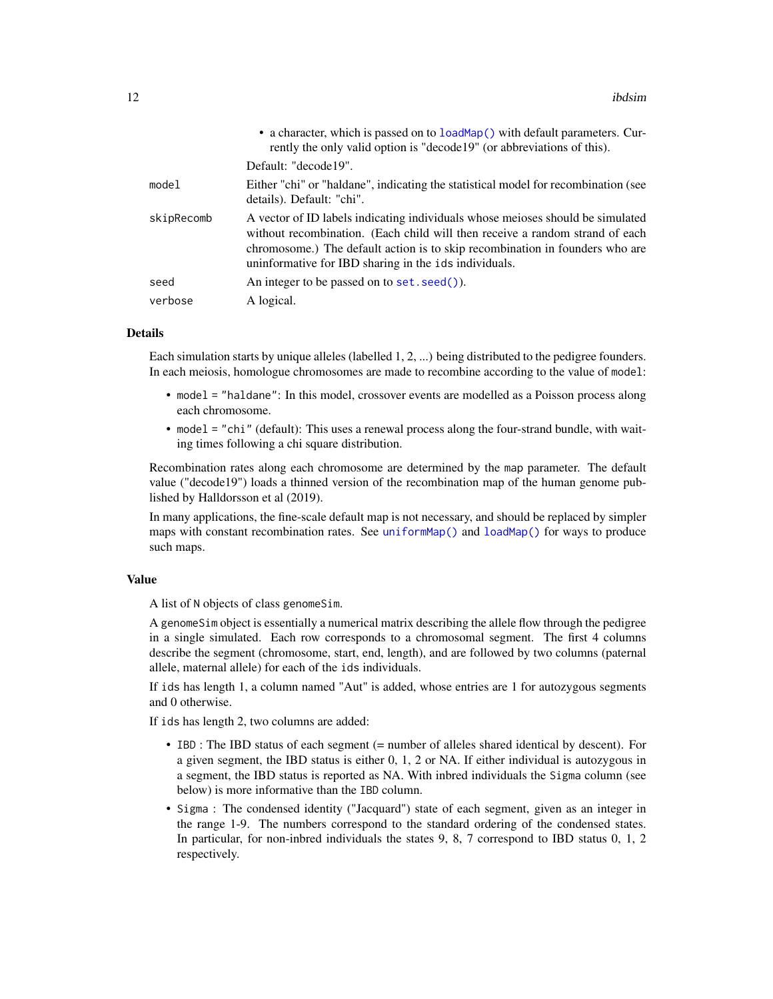<span id="page-11-0"></span>

|            | • a character, which is passed on to loadMap() with default parameters. Cur-<br>rently the only valid option is "decode19" (or abbreviations of this).                                                                                                                                                  |
|------------|---------------------------------------------------------------------------------------------------------------------------------------------------------------------------------------------------------------------------------------------------------------------------------------------------------|
|            | Default: "decode19".                                                                                                                                                                                                                                                                                    |
| model      | Either "chi" or "haldane", indicating the statistical model for recombination (see<br>details). Default: "chi".                                                                                                                                                                                         |
| skipRecomb | A vector of ID labels indicating individuals whose meioses should be simulated<br>without recombination. (Each child will then receive a random strand of each<br>chromosome.) The default action is to skip recombination in founders who are<br>uninformative for IBD sharing in the ids individuals. |
| seed       | An integer to be passed on to set. seed()).                                                                                                                                                                                                                                                             |
| verbose    | A logical.                                                                                                                                                                                                                                                                                              |

#### Details

Each simulation starts by unique alleles (labelled 1, 2, ...) being distributed to the pedigree founders. In each meiosis, homologue chromosomes are made to recombine according to the value of model:

- model = "haldane": In this model, crossover events are modelled as a Poisson process along each chromosome.
- model = "chi" (default): This uses a renewal process along the four-strand bundle, with waiting times following a chi square distribution.

Recombination rates along each chromosome are determined by the map parameter. The default value ("decode19") loads a thinned version of the recombination map of the human genome published by Halldorsson et al (2019).

In many applications, the fine-scale default map is not necessary, and should be replaced by simpler maps with constant recombination rates. See [uniformMap\(\)](#page-22-1) and [loadMap\(\)](#page-12-1) for ways to produce such maps.

#### Value

A list of N objects of class genomeSim.

A genomeSim object is essentially a numerical matrix describing the allele flow through the pedigree in a single simulated. Each row corresponds to a chromosomal segment. The first 4 columns describe the segment (chromosome, start, end, length), and are followed by two columns (paternal allele, maternal allele) for each of the ids individuals.

If ids has length 1, a column named "Aut" is added, whose entries are 1 for autozygous segments and 0 otherwise.

If ids has length 2, two columns are added:

- IBD : The IBD status of each segment (= number of alleles shared identical by descent). For a given segment, the IBD status is either 0, 1, 2 or NA. If either individual is autozygous in a segment, the IBD status is reported as NA. With inbred individuals the Sigma column (see below) is more informative than the IBD column.
- Sigma : The condensed identity ("Jacquard") state of each segment, given as an integer in the range 1-9. The numbers correspond to the standard ordering of the condensed states. In particular, for non-inbred individuals the states 9, 8, 7 correspond to IBD status 0, 1, 2 respectively.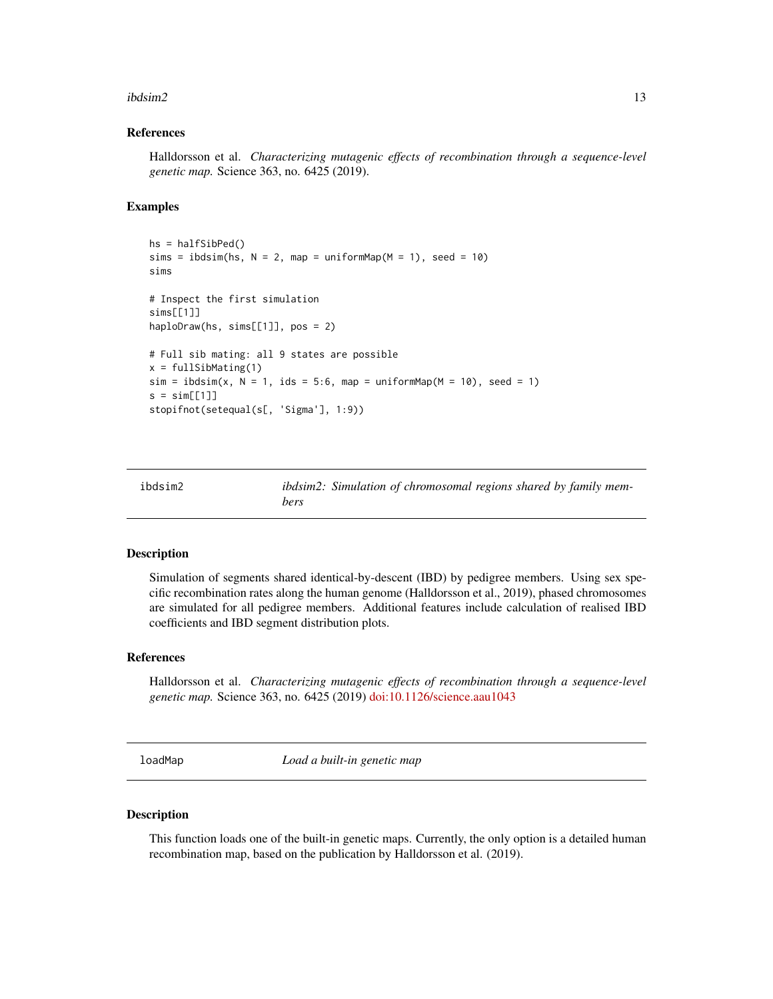#### <span id="page-12-0"></span> $ibdsim2$  13

#### References

Halldorsson et al. *Characterizing mutagenic effects of recombination through a sequence-level genetic map.* Science 363, no. 6425 (2019).

#### Examples

```
hs = halfSibPed()
sims = ibdsim(hs, N = 2, map = uniformMap(M = 1), seed = 10)
sims
# Inspect the first simulation
sims[[1]]
haploDraw(hs, sims[[1]], pos = 2)
# Full sib mating: all 9 states are possible
x = fullSibMating(1)
sim = ibdsim(x, N = 1, ids = 5:6, map = uniformMap(M = 10), seed = 1)s = sim[[1]]stopifnot(setequal(s[, 'Sigma'], 1:9))
```

| ibdsim2 |      | ibdsim2: Simulation of chromosomal regions shared by family mem- |  |  |
|---------|------|------------------------------------------------------------------|--|--|
|         | bers |                                                                  |  |  |

#### Description

Simulation of segments shared identical-by-descent (IBD) by pedigree members. Using sex specific recombination rates along the human genome (Halldorsson et al., 2019), phased chromosomes are simulated for all pedigree members. Additional features include calculation of realised IBD coefficients and IBD segment distribution plots.

#### References

Halldorsson et al. *Characterizing mutagenic effects of recombination through a sequence-level genetic map.* Science 363, no. 6425 (2019) [doi:10.1126/science.aau1043](https://doi.org/10.1126/science.aau1043)

<span id="page-12-1"></span>loadMap *Load a built-in genetic map*

#### Description

This function loads one of the built-in genetic maps. Currently, the only option is a detailed human recombination map, based on the publication by Halldorsson et al. (2019).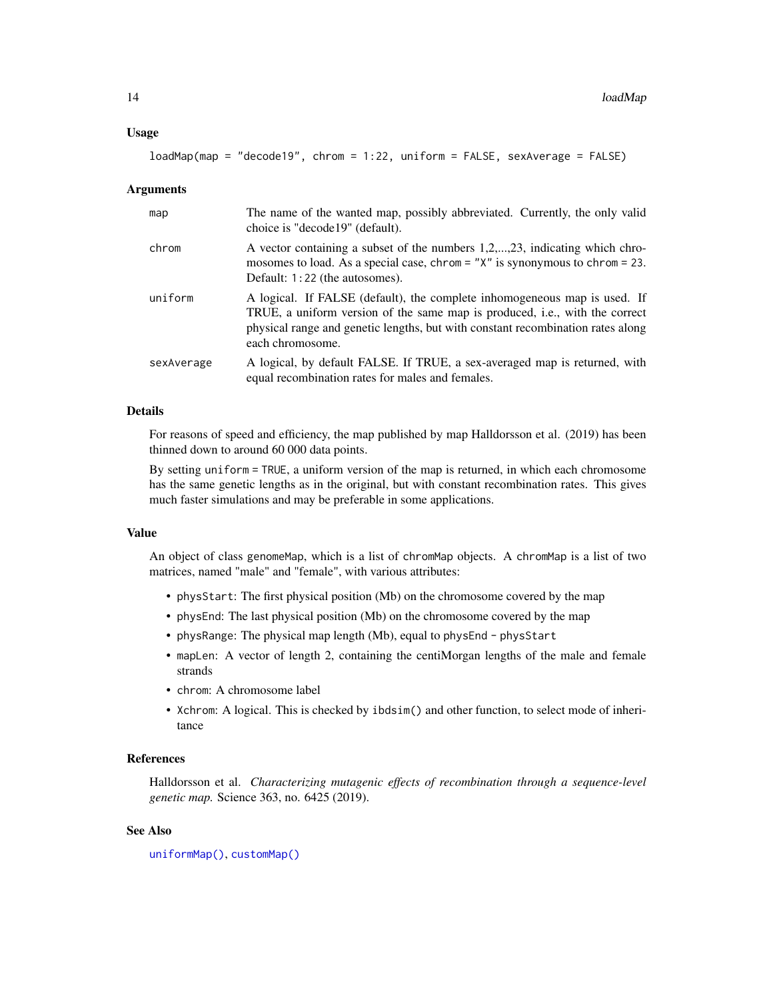#### <span id="page-13-0"></span>Usage

```
loadMap(map = "decode19", chrom = 1:22, uniform = FALSE, sexAverage = FALSE)
```
#### Arguments

| map        | The name of the wanted map, possibly abbreviated. Currently, the only valid<br>choice is "decode19" (default).                                                                                                                                                          |
|------------|-------------------------------------------------------------------------------------------------------------------------------------------------------------------------------------------------------------------------------------------------------------------------|
| chrom      | A vector containing a subset of the numbers 1,2,,23, indicating which chro-<br>mosomes to load. As a special case, chrom = $''X''$ is synonymous to chrom = 23.<br>Default: 1:22 (the autosomes).                                                                       |
| uniform    | A logical. If FALSE (default), the complete inhomogeneous map is used. If<br>TRUE, a uniform version of the same map is produced, <i>i.e.</i> , with the correct<br>physical range and genetic lengths, but with constant recombination rates along<br>each chromosome. |
| sexAverage | A logical, by default FALSE. If TRUE, a sex-averaged map is returned, with<br>equal recombination rates for males and females.                                                                                                                                          |

#### Details

For reasons of speed and efficiency, the map published by map Halldorsson et al. (2019) has been thinned down to around 60 000 data points.

By setting uniform = TRUE, a uniform version of the map is returned, in which each chromosome has the same genetic lengths as in the original, but with constant recombination rates. This gives much faster simulations and may be preferable in some applications.

#### Value

An object of class genomeMap, which is a list of chromMap objects. A chromMap is a list of two matrices, named "male" and "female", with various attributes:

- physStart: The first physical position (Mb) on the chromosome covered by the map
- physEnd: The last physical position (Mb) on the chromosome covered by the map
- physRange: The physical map length (Mb), equal to physEnd physStart
- mapLen: A vector of length 2, containing the centiMorgan lengths of the male and female strands
- chrom: A chromosome label
- Xchrom: A logical. This is checked by ibdsim() and other function, to select mode of inheritance

#### References

Halldorsson et al. *Characterizing mutagenic effects of recombination through a sequence-level genetic map.* Science 363, no. 6425 (2019).

#### See Also

[uniformMap\(\)](#page-22-1), [customMap\(\)](#page-2-1)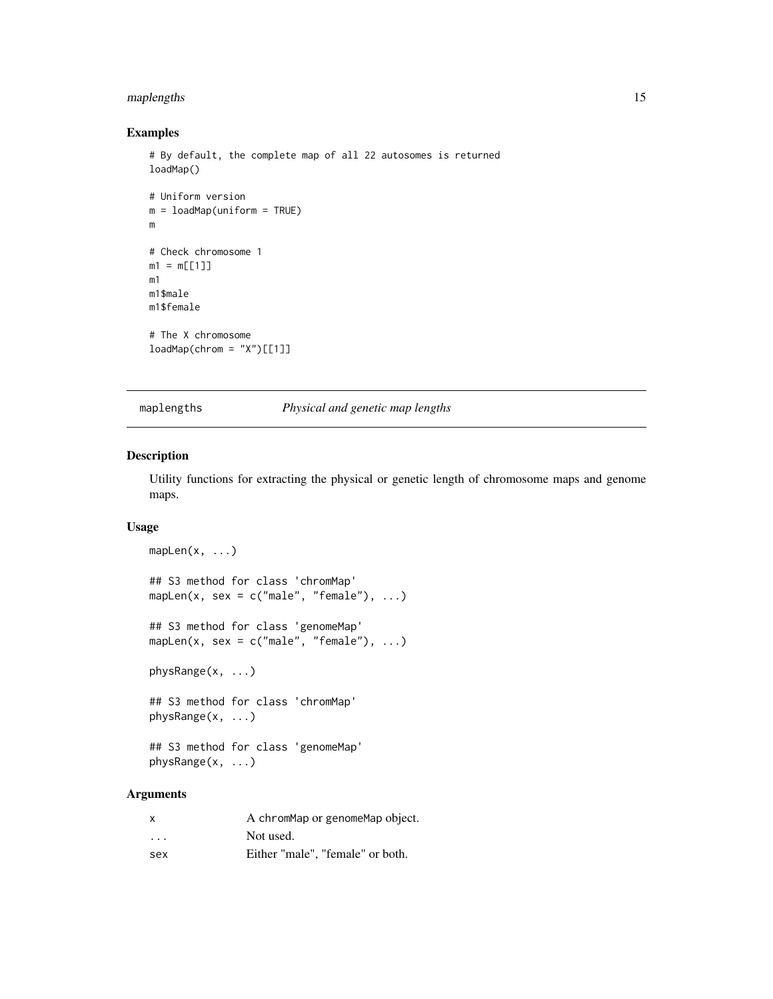#### <span id="page-14-0"></span>maplengths 15

#### Examples

```
# By default, the complete map of all 22 autosomes is returned
loadMap()
# Uniform version
m = loadMap(uniform = TRUE)
m
# Check chromosome 1
m1 = m[[1]]m1
m1$male
m1$female
# The X chromosome
loadMap(chrom = "X")[[1]]
```
maplengths *Physical and genetic map lengths*

#### Description

Utility functions for extracting the physical or genetic length of chromosome maps and genome maps.

#### Usage

```
mapLen(x, \ldots)## S3 method for class 'chromMap'
mapLen(x, sex = c("male", "female"), ...)## S3 method for class 'genomeMap'
mapLen(x, sex = c("male", "female"), ...)physRange(x, ...)
## S3 method for class 'chromMap'
physRange(x, ...)
## S3 method for class 'genomeMap'
```
physRange(x, ...)

#### Arguments

| $\mathsf{x}$ | A chromMap or genomeMap object.  |
|--------------|----------------------------------|
| $\cdots$     | Not used.                        |
| sex          | Either "male", "female" or both. |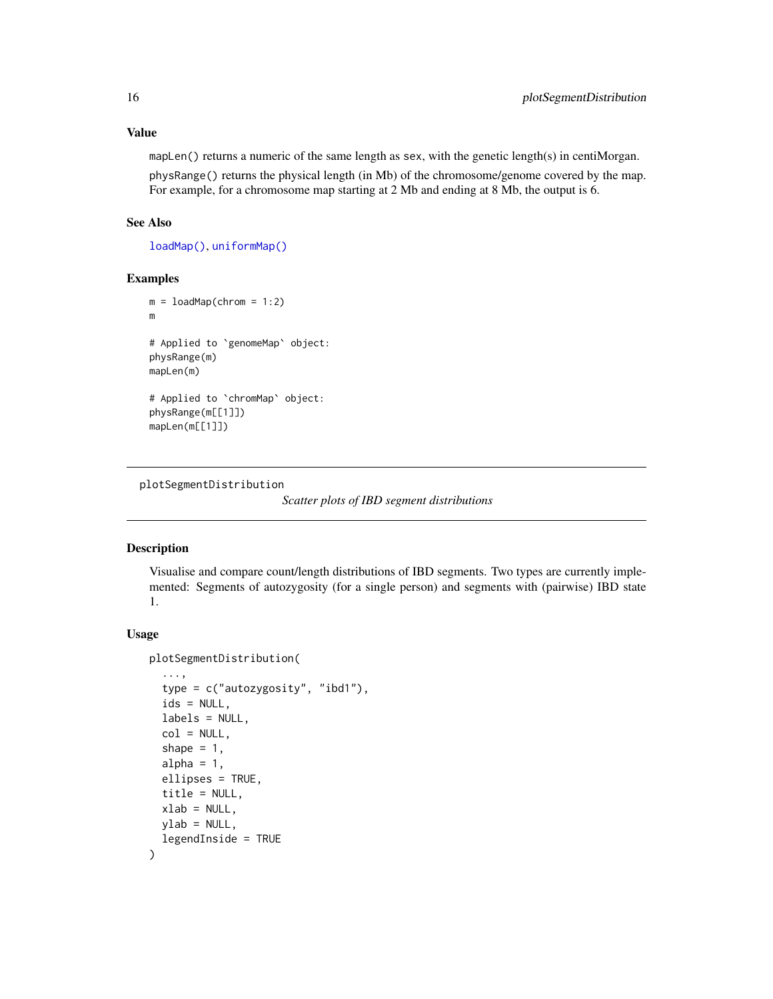#### <span id="page-15-0"></span>Value

mapLen() returns a numeric of the same length as sex, with the genetic length(s) in centiMorgan. physRange() returns the physical length (in Mb) of the chromosome/genome covered by the map. For example, for a chromosome map starting at 2 Mb and ending at 8 Mb, the output is 6.

#### See Also

[loadMap\(\)](#page-12-1), [uniformMap\(\)](#page-22-1)

#### Examples

```
m = loadMap(chrom = 1:2)
m
# Applied to `genomeMap` object:
physRange(m)
mapLen(m)
# Applied to `chromMap` object:
physRange(m[[1]])
mapLen(m[[1]])
```

```
plotSegmentDistribution
```
*Scatter plots of IBD segment distributions*

#### Description

Visualise and compare count/length distributions of IBD segments. Two types are currently implemented: Segments of autozygosity (for a single person) and segments with (pairwise) IBD state 1.

#### Usage

```
plotSegmentDistribution(
```

```
...,
  type = c("autozygosity", "ibd1"),
  ids = NULL,labels = NULL,
  col = NULL,shape = 1,
  alpha = 1,
  ellipses = TRUE,
  title = NULL,
  xlab = NULL,ylab = NULL,
  legendInside = TRUE
)
```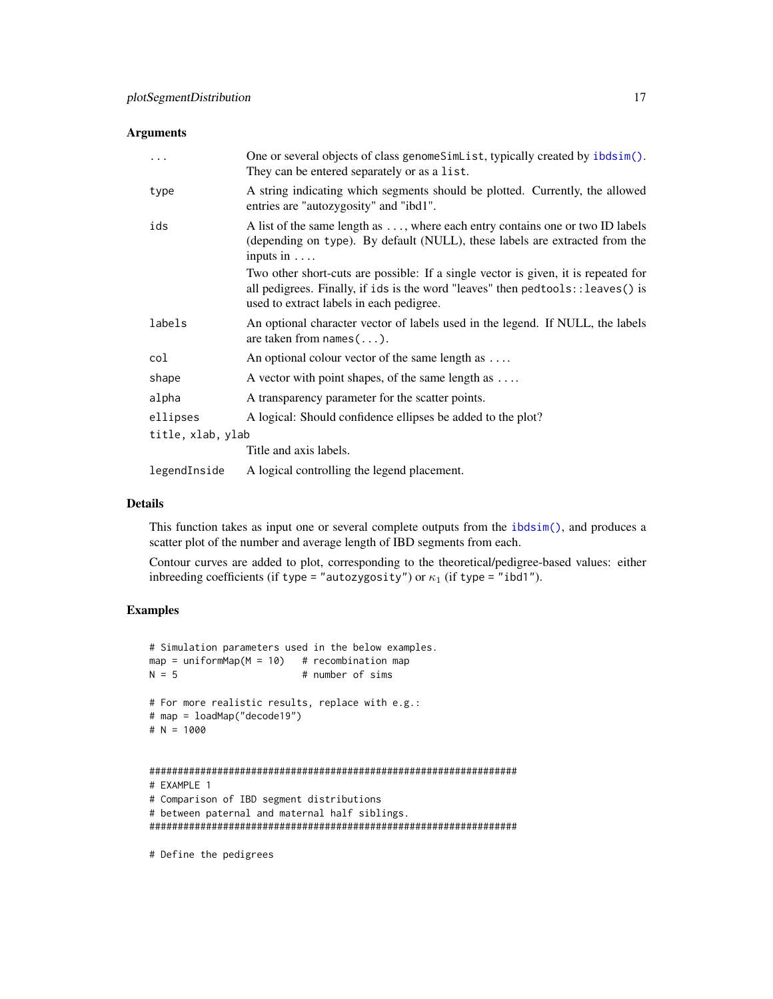#### <span id="page-16-0"></span>Arguments

| .                 | One or several objects of class genomeSimList, typically created by ibdsim().<br>They can be entered separately or as a list.                                                                                     |
|-------------------|-------------------------------------------------------------------------------------------------------------------------------------------------------------------------------------------------------------------|
| type              | A string indicating which segments should be plotted. Currently, the allowed<br>entries are "autozygosity" and "ibd1".                                                                                            |
| ids               | A list of the same length as , where each entry contains one or two ID labels<br>(depending on type). By default (NULL), these labels are extracted from the<br>inputs in $\dots$                                 |
|                   | Two other short-cuts are possible: If a single vector is given, it is repeated for<br>all pedigrees. Finally, if ids is the word "leaves" then pedtools:: leaves() is<br>used to extract labels in each pedigree. |
| labels            | An optional character vector of labels used in the legend. If NULL, the labels<br>are taken from $names(\ldots)$ .                                                                                                |
| col               | An optional colour vector of the same length as $\dots$                                                                                                                                                           |
| shape             | A vector with point shapes, of the same length as                                                                                                                                                                 |
| alpha             | A transparency parameter for the scatter points.                                                                                                                                                                  |
| ellipses          | A logical: Should confidence ellipses be added to the plot?                                                                                                                                                       |
| title, xlab, ylab |                                                                                                                                                                                                                   |
|                   | Title and axis labels.                                                                                                                                                                                            |
| legendInside      | A logical controlling the legend placement.                                                                                                                                                                       |

#### Details

This function takes as input one or several complete outputs from the [ibdsim\(\)](#page-10-1), and produces a scatter plot of the number and average length of IBD segments from each.

Contour curves are added to plot, corresponding to the theoretical/pedigree-based values: either inbreeding coefficients (if type = "autozygosity") or  $\kappa_1$  (if type = "ibd1").

#### Examples

```
# Simulation parameters used in the below examples.
map = uniformMap(M = 10) # recombination map<br>N = 5 # number of sims
                            # number of sims
# For more realistic results, replace with e.g.:
# map = loadMap("decode19")
# N = 1000
#################################################################
# EXAMPLE 1
# Comparison of IBD segment distributions
# between paternal and maternal half siblings.
#################################################################
```
# Define the pedigrees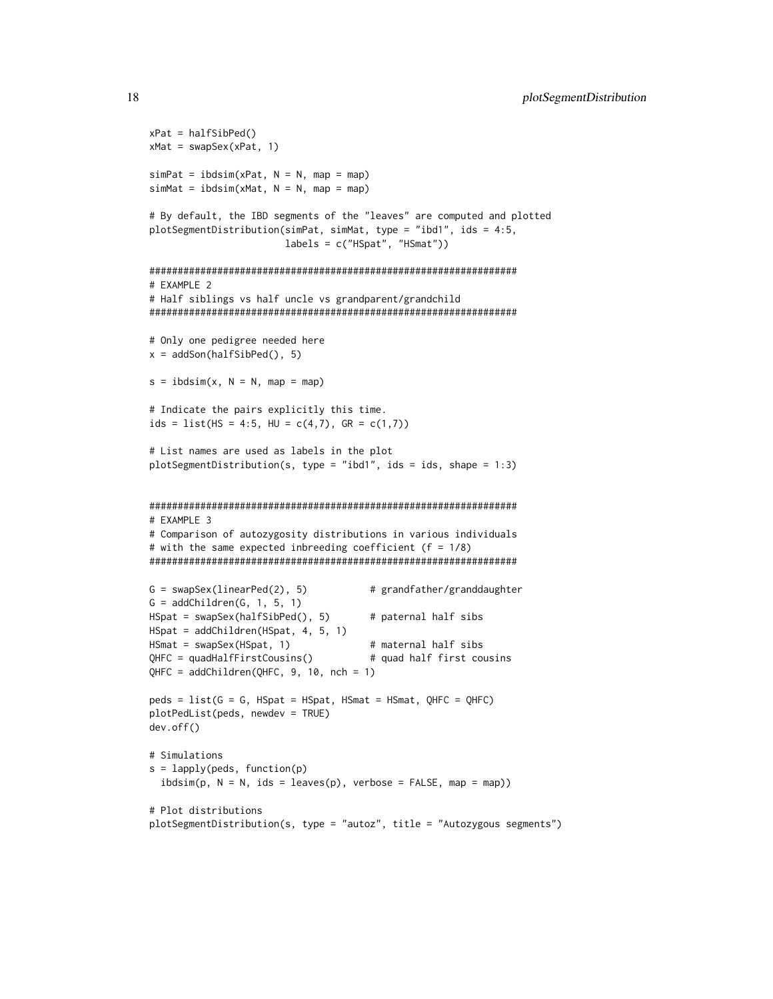```
xPat = halfSibPed()xMat = swapSex(xPat, 1)
simPat = ibdsim(xPat, N = N, map = map)simMat = ibdsim(xMat, N = N, map = map)# By default, the IBD segments of the "leaves" are computed and plotted
plotSegmentDistribution(simPat, simMat, type = "ibd1", ids = 4:5,
                       labels = c("HSpat", "HSmat"))
#################################################################
# EXAMPLE 2
# Half siblings vs half uncle vs grandparent/grandchild
#################################################################
# Only one pedigree needed here
x = addSon(halfSibPed(), 5)s = ibdsim(x, N = N, map = map)# Indicate the pairs explicitly this time.
ids = list(HS = 4:5, HU = c(4,7), GR = c(1,7))
# List names are used as labels in the plot
plotSegmentDistribution(s, type = "ibd1", ids = ids, shape = 1:3)
#################################################################
# EXAMPLE 3
# Comparison of autozygosity distributions in various individuals
# with the same expected inbreeding coefficient (f = 1/8)
#################################################################
G = swapSex(linearPed(2), 5) # grandfather/granddaughter
G = addChildren(G, 1, 5, 1)HSpat = swapSex(halfSibPed(), 5) # paternal half sibs
HSpat = addChildren(HSpat, 4, 5, 1)
HSmat = swapSex(HSpat, 1) # maternal half sibs
QHFC = quadHalfFirstCousins() # quad half first cousins
QHFC = addChildren(QHFC, 9, 10, nch = 1)
peds = list(G = G, HSpat = HSpat, HSmat = HSmat, QHFC = QHFC)
plotPedList(peds, newdev = TRUE)
dev.off()
# Simulations
s = lapply(peds, function(p)
 ibdsim(p, N = N, ids = leaves(p), verbose = FALSE, map = map))# Plot distributions
plotSegmentDistribution(s, type = "autoz", title = "Autozygous segments")
```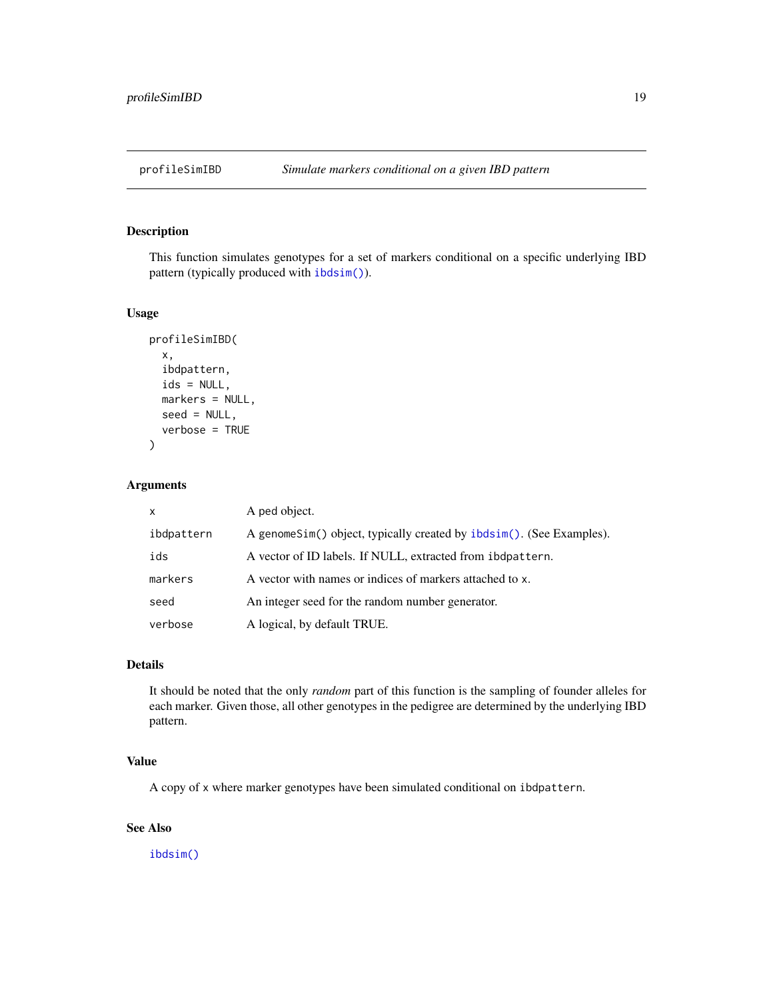<span id="page-18-0"></span>

This function simulates genotypes for a set of markers conditional on a specific underlying IBD pattern (typically produced with [ibdsim\(\)](#page-10-1)).

#### Usage

```
profileSimIBD(
  x,
  ibdpattern,
  ids = NULL,
  markers = NULL,
  seed = NULL,
  verbose = TRUE
\mathcal{L}
```
#### Arguments

| $\mathsf{x}$ | A ped object.                                                         |
|--------------|-----------------------------------------------------------------------|
| ibdpattern   | A genome Sim() object, typically created by ibdsim(). (See Examples). |
| ids          | A vector of ID labels. If NULL, extracted from ibdpattern.            |
| markers      | A vector with names or indices of markers attached to x.              |
| seed         | An integer seed for the random number generator.                      |
| verbose      | A logical, by default TRUE.                                           |

#### Details

It should be noted that the only *random* part of this function is the sampling of founder alleles for each marker. Given those, all other genotypes in the pedigree are determined by the underlying IBD pattern.

#### Value

A copy of x where marker genotypes have been simulated conditional on ibdpattern.

#### See Also

[ibdsim\(\)](#page-10-1)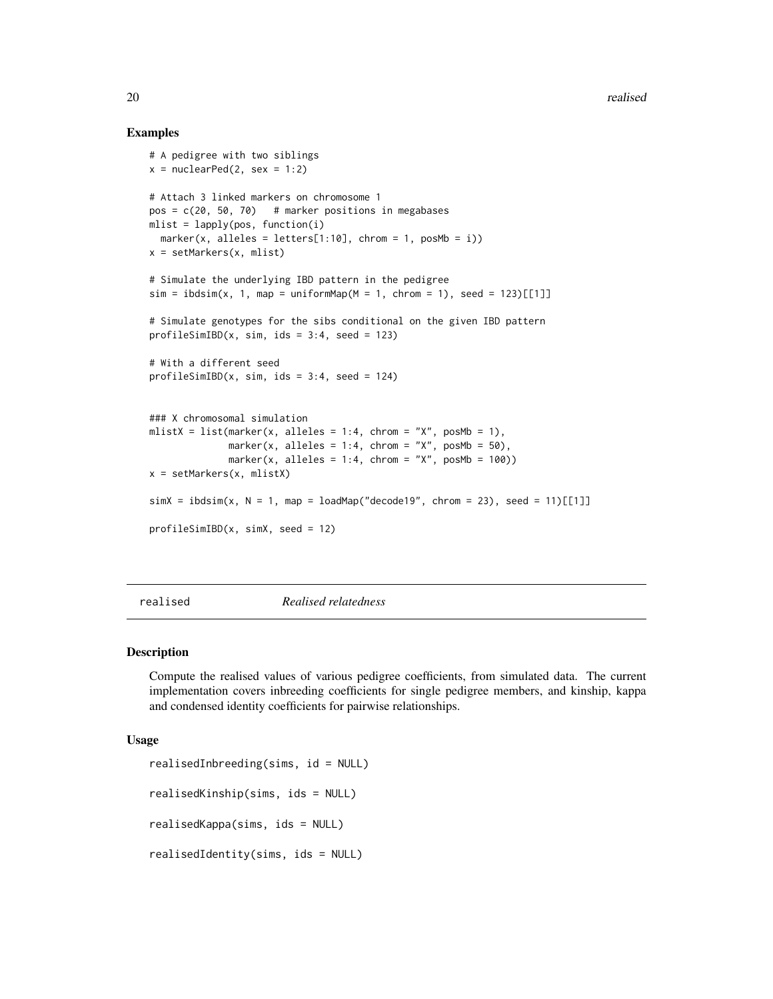#### Examples

```
# A pedigree with two siblings
x = nuclearPed(2, sex = 1:2)# Attach 3 linked markers on chromosome 1
pos = c(20, 50, 70) # marker positions in megabases
mlist = lapply(pos, function(i)
  marker(x, alleles = letters[1:10], chrom = 1, posMb = i))
x = setMarkers(x, mlist)
# Simulate the underlying IBD pattern in the pedigree
sim = ibdsim(x, 1, map = uniformMap(M = 1, chrom = 1), seed = 123)[[1]# Simulate genotypes for the sibs conditional on the given IBD pattern
profilesimIBD(x, sim, ids = 3:4, seed = 123)# With a different seed
profileSimIBD(x, sim, ids = 3:4, seed = 124)### X chromosomal simulation
mlistX = list(marker(x, alleles = 1:4, chrom = "X", posMb = 1),
             marker(x, alleles = 1:4, chrom = "X", posMb = 50),
             marker(x, alleles = 1:4, chrom = "X", posMb = 100))
x = setMarkers(x, mlistX)
simX = ibdsim(X, N = 1, map = loadMap("decode19", chrom = 23), seed = 11)[[11]]profileSimIBD(x, simX, seed = 12)
```
realised *Realised relatedness*

#### Description

Compute the realised values of various pedigree coefficients, from simulated data. The current implementation covers inbreeding coefficients for single pedigree members, and kinship, kappa and condensed identity coefficients for pairwise relationships.

#### Usage

```
realisedInbreeding(sims, id = NULL)
realisedKinship(sims, ids = NULL)
realisedKappa(sims, ids = NULL)
realisedIdentity(sims, ids = NULL)
```
<span id="page-19-0"></span>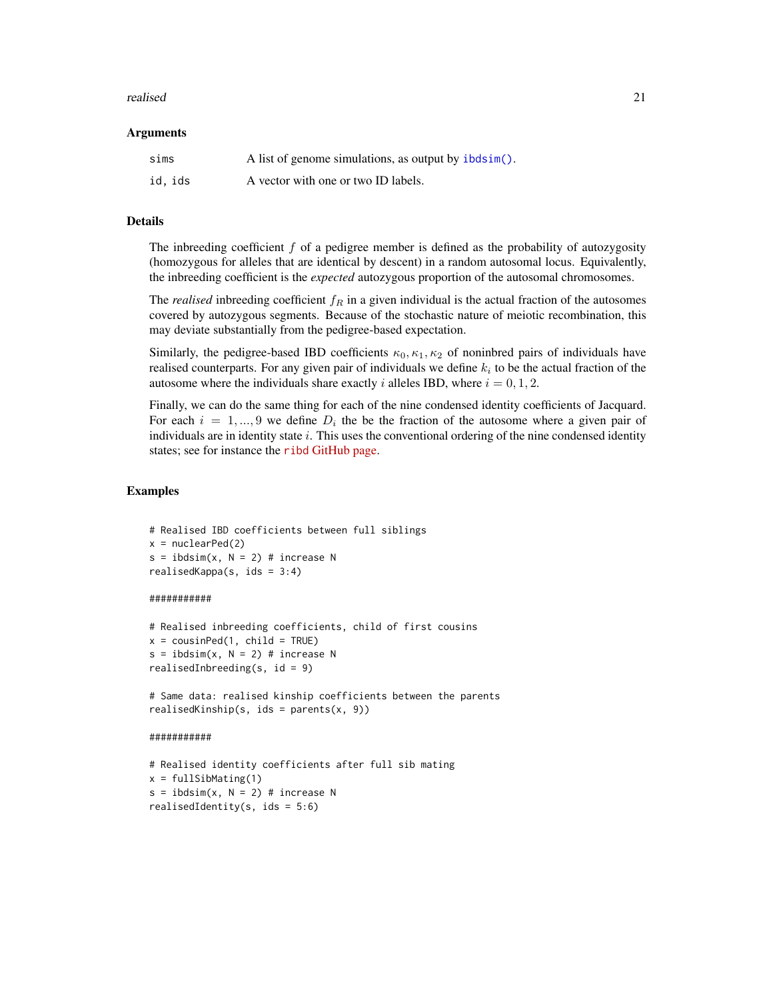#### <span id="page-20-0"></span>realised 21

#### Arguments

| sims    | A list of genome simulations, as output by ibdsim(). |
|---------|------------------------------------------------------|
| id, ids | A vector with one or two ID labels.                  |

#### Details

The inbreeding coefficient  $f$  of a pedigree member is defined as the probability of autozygosity (homozygous for alleles that are identical by descent) in a random autosomal locus. Equivalently, the inbreeding coefficient is the *expected* autozygous proportion of the autosomal chromosomes.

The *realised* inbreeding coefficient  $f_R$  in a given individual is the actual fraction of the autosomes covered by autozygous segments. Because of the stochastic nature of meiotic recombination, this may deviate substantially from the pedigree-based expectation.

Similarly, the pedigree-based IBD coefficients  $\kappa_0, \kappa_1, \kappa_2$  of noninbred pairs of individuals have realised counterparts. For any given pair of individuals we define  $k_i$  to be the actual fraction of the autosome where the individuals share exactly i alleles IBD, where  $i = 0, 1, 2$ .

Finally, we can do the same thing for each of the nine condensed identity coefficients of Jacquard. For each  $i = 1, ..., 9$  we define  $D_i$  the be the fraction of the autosome where a given pair of individuals are in identity state  $i$ . This uses the conventional ordering of the nine condensed identity states; see for instance the ribd [GitHub page.](https://github.com/magnusdv/ribd)

#### Examples

```
# Realised IBD coefficients between full siblings
x = nuclearPed(2)s = ibdsim(x, N = 2) # increase N
realisedKappa(s, ids = 3:4)
```
#### ###########

```
# Realised inbreeding coefficients, child of first cousins
x = \text{cousinPed}(1, \text{ child} = \text{TRUE})s = ibdsim(x, N = 2) # increase NrealisedInbreeding(s, id = 9)
```
# Same data: realised kinship coefficients between the parents realisedKinship(s, ids = parents(x, 9))

#### ###########

```
# Realised identity coefficients after full sib mating
x = fullSibMatrix(1)s = ibdsim(x, N = 2) # increase N
realisedIdentity(s, ids = 5:6)
```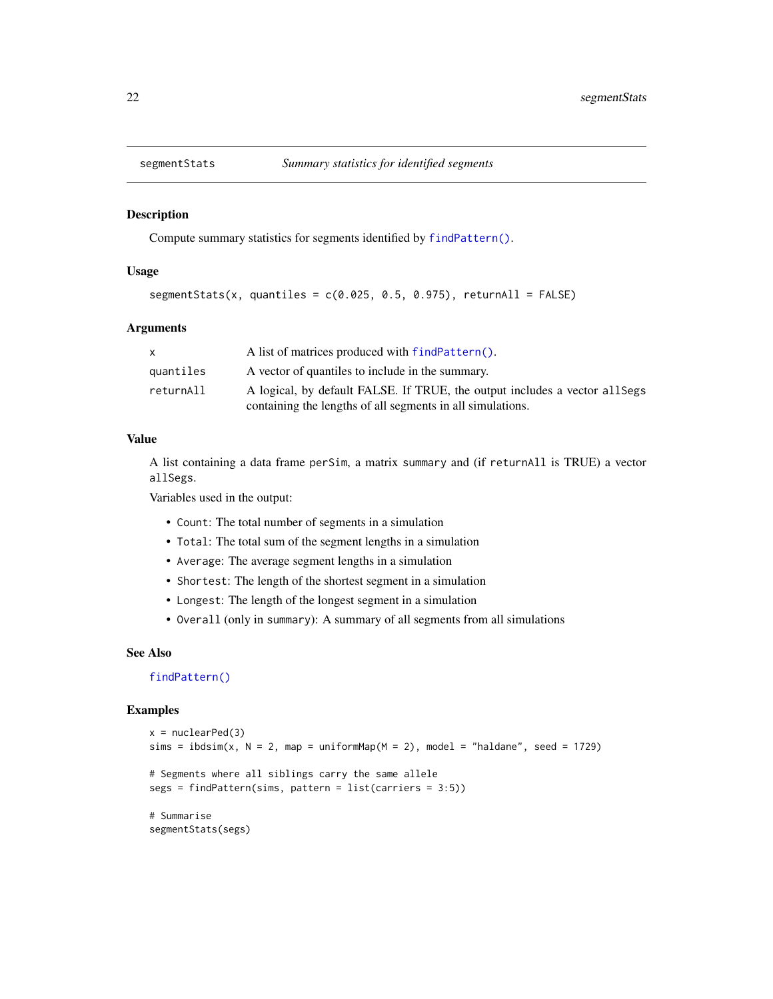<span id="page-21-1"></span><span id="page-21-0"></span>

Compute summary statistics for segments identified by [findPattern\(\)](#page-7-1).

#### Usage

segmentStats(x, quantiles =  $c(0.025, 0.5, 0.975)$ , returnAll = FALSE)

#### Arguments

|           | A list of matrices produced with findPattern().                             |
|-----------|-----------------------------------------------------------------------------|
| quantiles | A vector of quantiles to include in the summary.                            |
| returnAll | A logical, by default FALSE. If TRUE, the output includes a vector all Segs |
|           | containing the lengths of all segments in all simulations.                  |

#### Value

A list containing a data frame perSim, a matrix summary and (if returnAll is TRUE) a vector allSegs.

Variables used in the output:

- Count: The total number of segments in a simulation
- Total: The total sum of the segment lengths in a simulation
- Average: The average segment lengths in a simulation
- Shortest: The length of the shortest segment in a simulation
- Longest: The length of the longest segment in a simulation
- Overall (only in summary): A summary of all segments from all simulations

#### See Also

[findPattern\(\)](#page-7-1)

```
x = nuclearPed(3)sims = ibdsim(x, N = 2, map = uniformMap(M = 2), model = "haldane", seed = 1729)
# Segments where all siblings carry the same allele
segs = findPattern(sims, pattern = list(carriers = 3:5))
# Summarise
segmentStats(segs)
```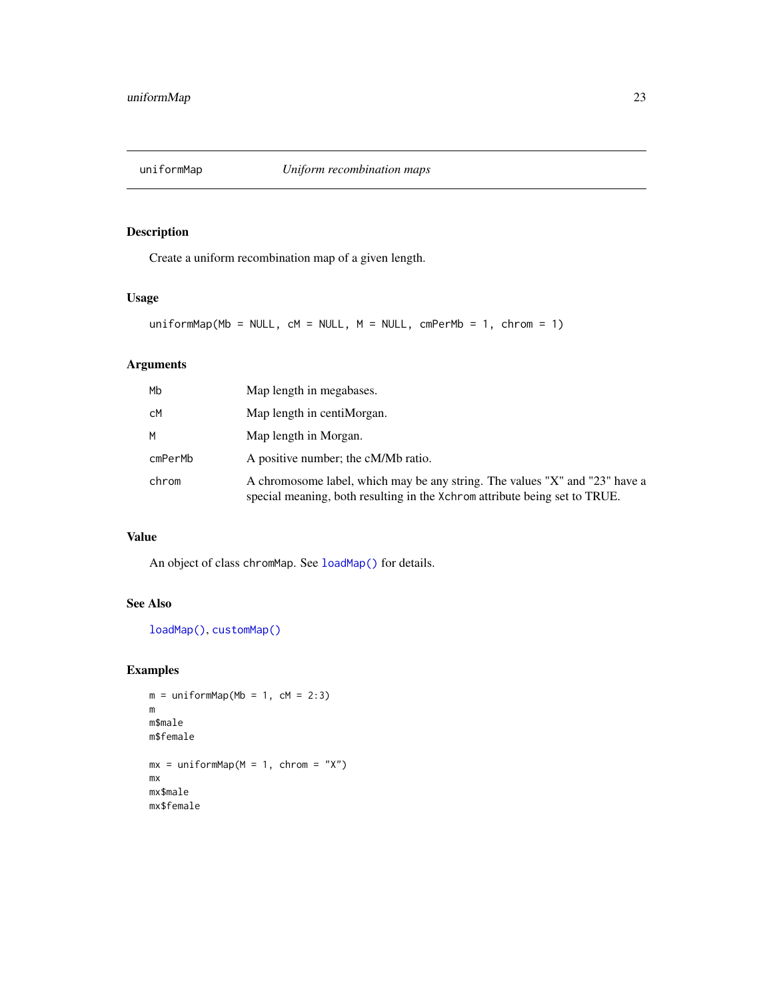<span id="page-22-1"></span><span id="page-22-0"></span>

Create a uniform recombination map of a given length.

#### Usage

```
uniformMap(Mb = NULL, cM = NULL, M = NULL, cmPerMb = 1, chrom = 1)
```
#### Arguments

| Mh      | Map length in megabases.                                                                                                                                  |
|---------|-----------------------------------------------------------------------------------------------------------------------------------------------------------|
| сM      | Map length in centiMorgan.                                                                                                                                |
| м       | Map length in Morgan.                                                                                                                                     |
| cmPerMb | A positive number; the cM/Mb ratio.                                                                                                                       |
| chrom   | A chromosome label, which may be any string. The values "X" and "23" have a<br>special meaning, both resulting in the Xchrom attribute being set to TRUE. |

#### Value

An object of class chromMap. See [loadMap\(\)](#page-12-1) for details.

#### See Also

```
loadMap(), customMap()
```

```
m = uniformMap(Mb = 1, cM = 2:3)m
m$male
m$female
mx = uniformMap(M = 1, chrom = "X")mx
mx$male
mx$female
```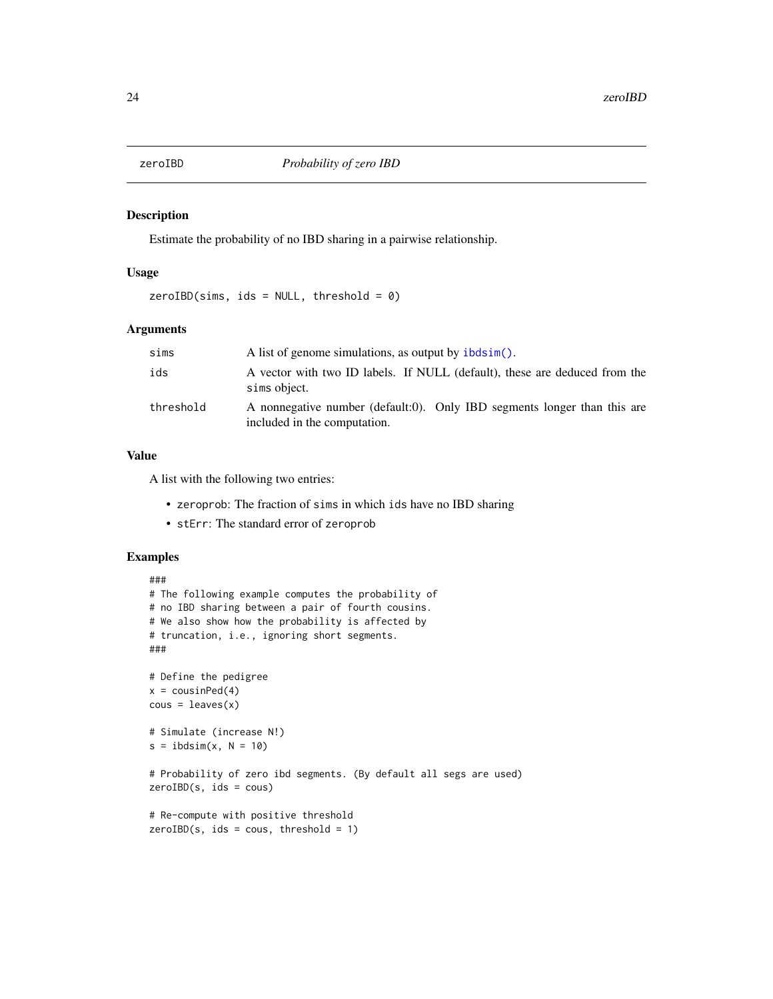<span id="page-23-0"></span>

Estimate the probability of no IBD sharing in a pairwise relationship.

#### Usage

 $zeroIBD(sims, ids = NULL, threshold = 0)$ 

#### Arguments

| sims      | A list of genome simulations, as output by ibdsim().                                                     |
|-----------|----------------------------------------------------------------------------------------------------------|
| ids       | A vector with two ID labels. If NULL (default), these are deduced from the<br>sims object.               |
| threshold | A nonnegative number (default:0). Only IBD segments longer than this are<br>included in the computation. |

#### Value

A list with the following two entries:

- zeroprob: The fraction of sims in which ids have no IBD sharing
- stErr: The standard error of zeroprob

```
###
# The following example computes the probability of
# no IBD sharing between a pair of fourth cousins.
# We also show how the probability is affected by
# truncation, i.e., ignoring short segments.
###
# Define the pedigree
x = \text{cousinPed}(4)cous = leaves(x)# Simulate (increase N!)
s = ibdsim(x, N = 10)# Probability of zero ibd segments. (By default all segs are used)
zeroIBD(s, ids = cous)
# Re-compute with positive threshold
zeroIBD(s, ids = cous, threshold = 1)
```